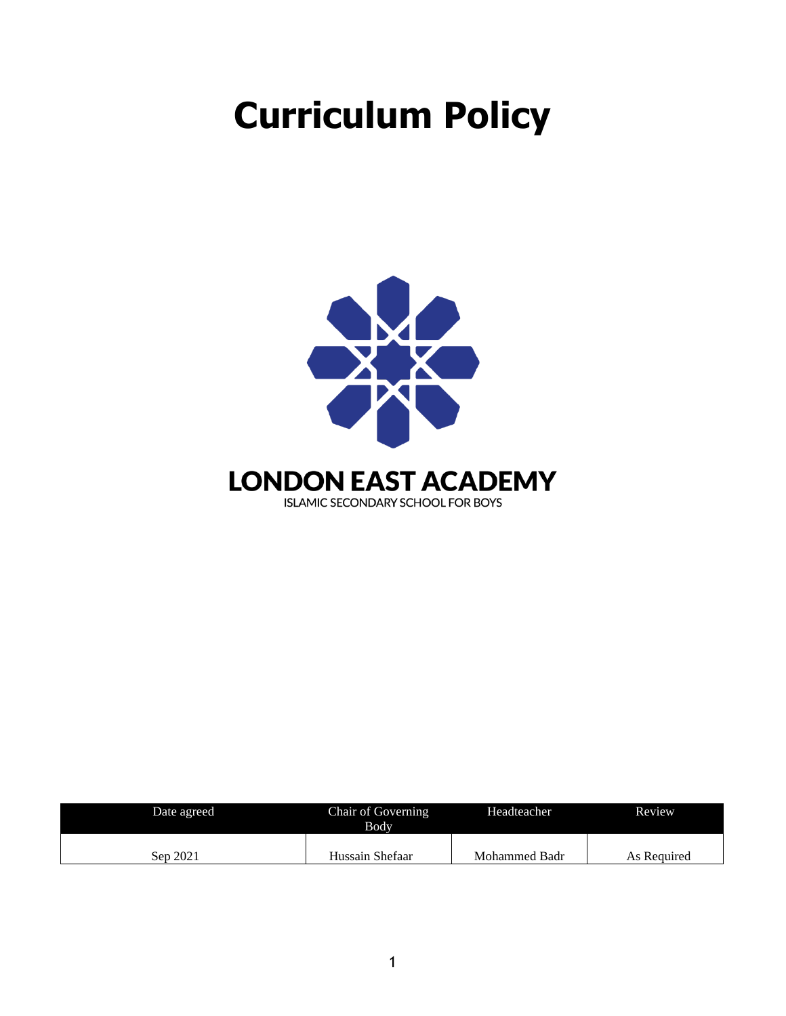# **Curriculum Policy**



| Date agreed | Chair of Governing<br>Bodv | Headteacher   | Review      |
|-------------|----------------------------|---------------|-------------|
| Sep 2021    | Hussain Shefaar            | Mohammed Badr | As Required |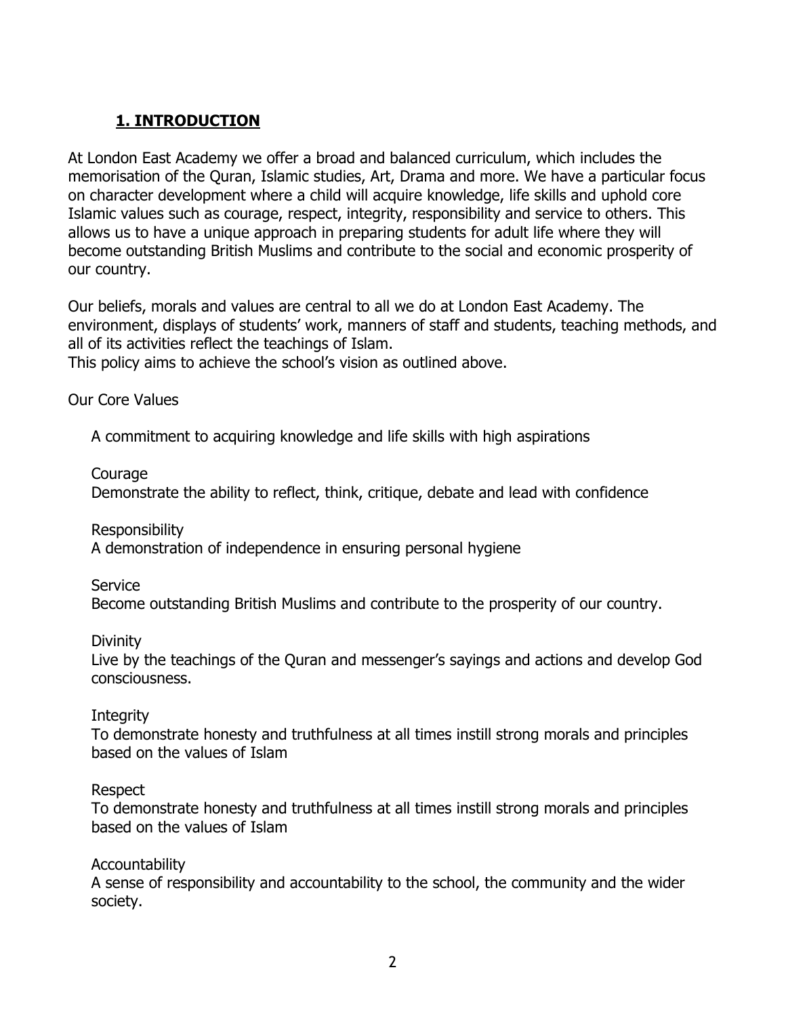## **1. INTRODUCTION**

At London East Academy we offer a broad and balanced curriculum, which includes the memorisation of the Quran, Islamic studies, Art, Drama and more. We have a particular focus on character development where a child will acquire knowledge, life skills and uphold core Islamic values such as courage, respect, integrity, responsibility and service to others. This allows us to have a unique approach in preparing students for adult life where they will become outstanding British Muslims and contribute to the social and economic prosperity of our country.

Our beliefs, morals and values are central to all we do at London East Academy. The environment, displays of students' work, manners of staff and students, teaching methods, and all of its activities reflect the teachings of Islam.

This policy aims to achieve the school's vision as outlined above.

Our Core Values

A commitment to acquiring knowledge and life skills with high aspirations

**Courage** 

Demonstrate the ability to reflect, think, critique, debate and lead with confidence

Responsibility

A demonstration of independence in ensuring personal hygiene

Service

Become outstanding British Muslims and contribute to the prosperity of our country.

**Divinity** 

Live by the teachings of the Quran and messenger's sayings and actions and develop God consciousness.

#### **Integrity**

To demonstrate honesty and truthfulness at all times instill strong morals and principles based on the values of Islam

#### Respect

To demonstrate honesty and truthfulness at all times instill strong morals and principles based on the values of Islam

## Accountability

A sense of responsibility and accountability to the school, the community and the wider society.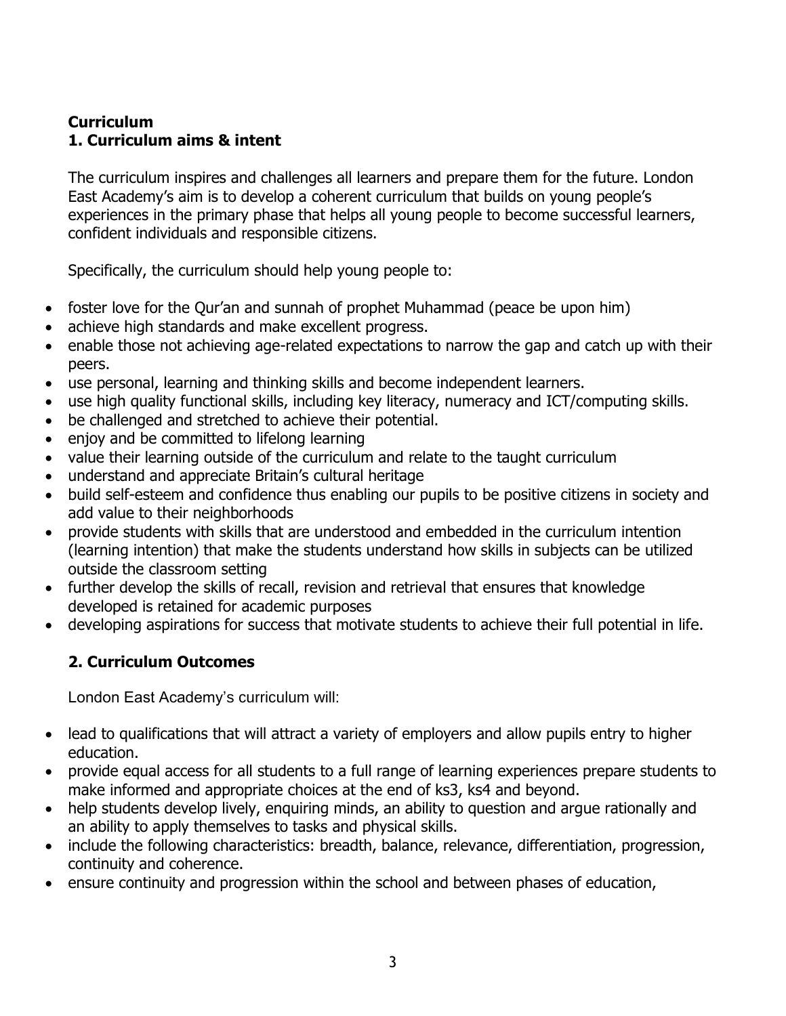## **Curriculum 1. Curriculum aims & intent**

The curriculum inspires and challenges all learners and prepare them for the future. London East Academy's aim is to develop a coherent curriculum that builds on young people's experiences in the primary phase that helps all young people to become successful learners, confident individuals and responsible citizens.

Specifically, the curriculum should help young people to:

- foster love for the Qur'an and sunnah of prophet Muhammad (peace be upon him)
- achieve high standards and make excellent progress.
- enable those not achieving age-related expectations to narrow the gap and catch up with their peers.
- use personal, learning and thinking skills and become independent learners.
- use high quality functional skills, including key literacy, numeracy and ICT/computing skills.
- be challenged and stretched to achieve their potential.
- enjoy and be committed to lifelong learning
- value their learning outside of the curriculum and relate to the taught curriculum
- understand and appreciate Britain's cultural heritage
- build self-esteem and confidence thus enabling our pupils to be positive citizens in society and add value to their neighborhoods
- provide students with skills that are understood and embedded in the curriculum intention (learning intention) that make the students understand how skills in subjects can be utilized outside the classroom setting
- further develop the skills of recall, revision and retrieval that ensures that knowledge developed is retained for academic purposes
- developing aspirations for success that motivate students to achieve their full potential in life.

## **2. Curriculum Outcomes**

London East Academy's curriculum will:

- lead to qualifications that will attract a variety of employers and allow pupils entry to higher education.
- provide equal access for all students to a full range of learning experiences prepare students to make informed and appropriate choices at the end of ks3, ks4 and beyond.
- help students develop lively, enquiring minds, an ability to question and arque rationally and an ability to apply themselves to tasks and physical skills.
- include the following characteristics: breadth, balance, relevance, differentiation, progression, continuity and coherence.
- ensure continuity and progression within the school and between phases of education,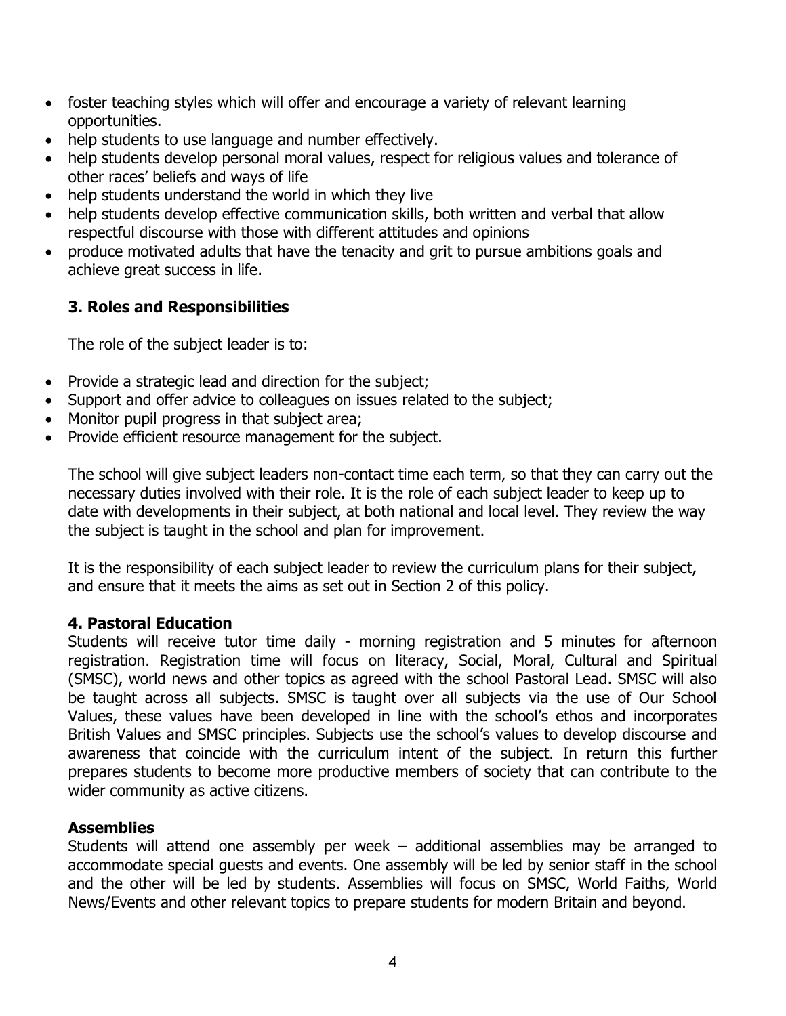- foster teaching styles which will offer and encourage a variety of relevant learning opportunities.
- help students to use language and number effectively.
- help students develop personal moral values, respect for religious values and tolerance of other races' beliefs and ways of life
- help students understand the world in which they live
- help students develop effective communication skills, both written and verbal that allow respectful discourse with those with different attitudes and opinions
- produce motivated adults that have the tenacity and grit to pursue ambitions goals and achieve great success in life.

## **3. Roles and Responsibilities**

The role of the subject leader is to:

- Provide a strategic lead and direction for the subject;
- Support and offer advice to colleagues on issues related to the subject;
- Monitor pupil progress in that subject area;
- Provide efficient resource management for the subject.

The school will give subject leaders non-contact time each term, so that they can carry out the necessary duties involved with their role. It is the role of each subject leader to keep up to date with developments in their subject, at both national and local level. They review the way the subject is taught in the school and plan for improvement.

It is the responsibility of each subject leader to review the curriculum plans for their subject, and ensure that it meets the aims as set out in Section 2 of this policy.

#### **4. Pastoral Education**

Students will receive tutor time daily - morning registration and 5 minutes for afternoon registration. Registration time will focus on literacy, Social, Moral, Cultural and Spiritual (SMSC), world news and other topics as agreed with the school Pastoral Lead. SMSC will also be taught across all subjects. SMSC is taught over all subjects via the use of Our School Values, these values have been developed in line with the school's ethos and incorporates British Values and SMSC principles. Subjects use the school's values to develop discourse and awareness that coincide with the curriculum intent of the subject. In return this further prepares students to become more productive members of society that can contribute to the wider community as active citizens.

#### **Assemblies**

Students will attend one assembly per week – additional assemblies may be arranged to accommodate special guests and events. One assembly will be led by senior staff in the school and the other will be led by students. Assemblies will focus on SMSC, World Faiths, World News/Events and other relevant topics to prepare students for modern Britain and beyond.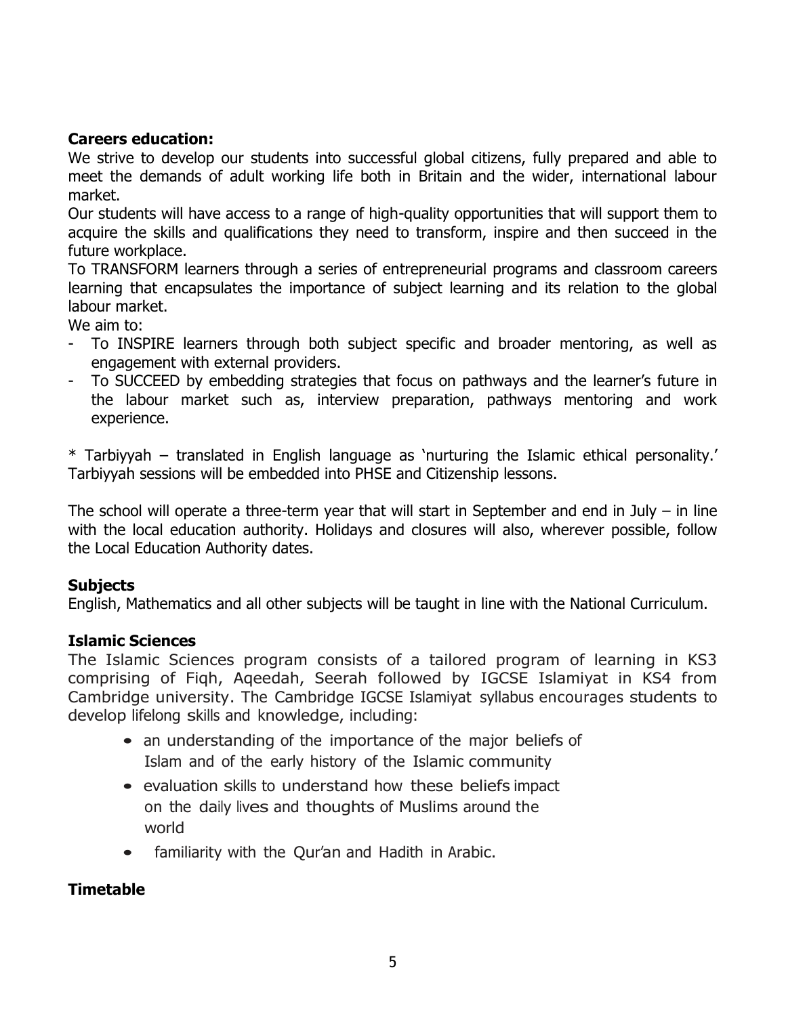#### **Careers education:**

We strive to develop our students into successful global citizens, fully prepared and able to meet the demands of adult working life both in Britain and the wider, international labour market.

Our students will have access to a range of high-quality opportunities that will support them to acquire the skills and qualifications they need to transform, inspire and then succeed in the future workplace.

To TRANSFORM learners through a series of entrepreneurial programs and classroom careers learning that encapsulates the importance of subject learning and its relation to the global labour market.

We aim to:

- To INSPIRE learners through both subject specific and broader mentoring, as well as engagement with external providers.
- To SUCCEED by embedding strategies that focus on pathways and the learner's future in the labour market such as, interview preparation, pathways mentoring and work experience.

\* Tarbiyyah – translated in English language as 'nurturing the Islamic ethical personality.' Tarbiyyah sessions will be embedded into PHSE and Citizenship lessons.

The school will operate a three-term year that will start in September and end in July – in line with the local education authority. Holidays and closures will also, wherever possible, follow the Local Education Authority dates.

## **Subjects**

English, Mathematics and all other subjects will be taught in line with the National Curriculum.

#### **Islamic Sciences**

The Islamic Sciences program consists of a tailored program of learning in KS3 comprising of Fiqh, Aqeedah, Seerah followed by IGCSE Islamiyat in KS4 from Cambridge university. The Cambridge IGCSE Islamiyat syllabus encourages students to develop lifelong skills and knowledge, including:

- an understanding of the importance of the major beliefs of Islam and of the early history of the Islamic community
- evaluation skills to understand how these beliefs impact on the daily lives and thoughts of Muslims around the world
- familiarity with the Qur'an and Hadith in Arabic.

## **Timetable**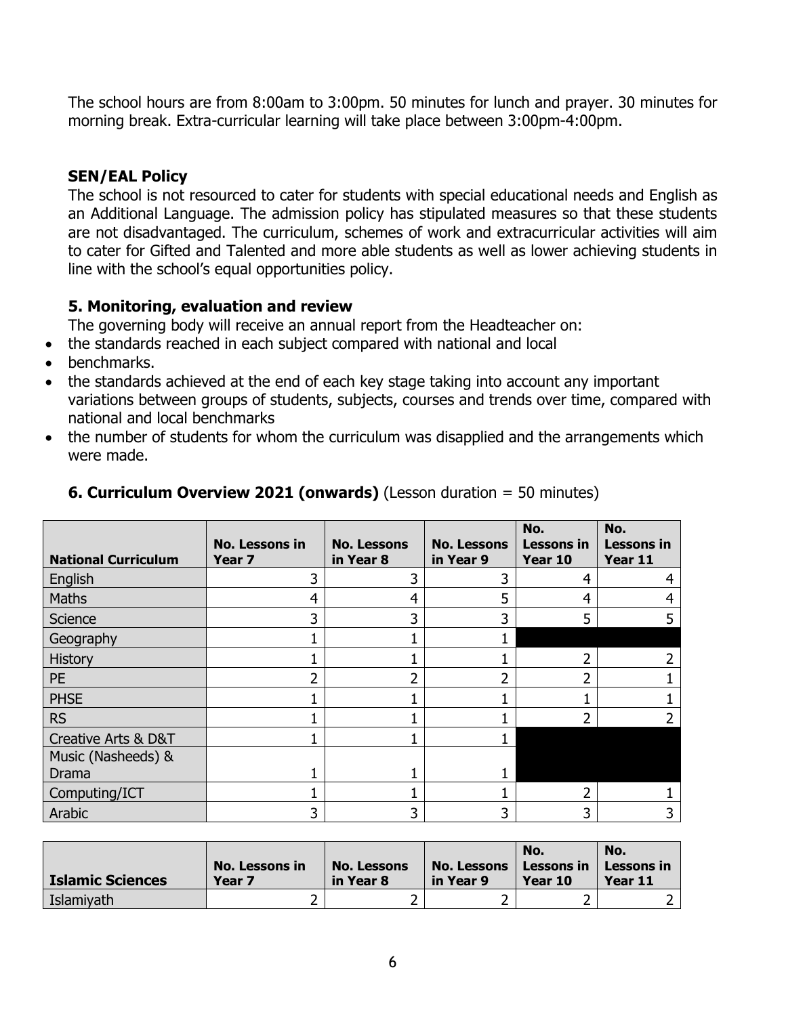The school hours are from 8:00am to 3:00pm. 50 minutes for lunch and prayer. 30 minutes for morning break. Extra-curricular learning will take place between 3:00pm-4:00pm.

## **SEN/EAL Policy**

The school is not resourced to cater for students with special educational needs and English as an Additional Language. The admission policy has stipulated measures so that these students are not disadvantaged. The curriculum, schemes of work and extracurricular activities will aim to cater for Gifted and Talented and more able students as well as lower achieving students in line with the school's equal opportunities policy.

## **5. Monitoring, evaluation and review**

The governing body will receive an annual report from the Headteacher on:

- the standards reached in each subject compared with national and local
- benchmarks.
- the standards achieved at the end of each key stage taking into account any important variations between groups of students, subjects, courses and trends over time, compared with national and local benchmarks
- the number of students for whom the curriculum was disapplied and the arrangements which were made.

|                            | <b>No. Lessons in</b> | <b>No. Lessons</b> | <b>No. Lessons</b> | No.<br><b>Lessons in</b> | No.<br><b>Lessons in</b> |
|----------------------------|-----------------------|--------------------|--------------------|--------------------------|--------------------------|
| <b>National Curriculum</b> | Year <sub>7</sub>     | in Year 8          | in Year 9          | Year 10                  | Year 11                  |
| English                    | ว                     | ำ                  | 3                  | 4                        |                          |
| <b>Maths</b>               | 4                     | 4                  | 5                  | 4                        |                          |
| Science                    | 3                     | 3                  | 3                  | 5                        |                          |
| Geography                  |                       |                    |                    |                          |                          |
| <b>History</b>             |                       |                    |                    |                          |                          |
| <b>PE</b>                  |                       |                    | า                  |                          |                          |
| <b>PHSE</b>                |                       |                    |                    |                          |                          |
| <b>RS</b>                  |                       |                    |                    |                          |                          |
| Creative Arts & D&T        |                       |                    |                    |                          |                          |
| Music (Nasheeds) &         |                       |                    |                    |                          |                          |
| Drama                      |                       |                    |                    |                          |                          |
| Computing/ICT              |                       |                    |                    |                          |                          |
| Arabic                     | 3                     | 3                  | 3                  | 3                        |                          |

## **6. Curriculum Overview 2021 (onwards)** (Lesson duration = 50 minutes)

| <b>Islamic Sciences</b> | No. Lessons in<br>Year <sub>7</sub> | <b>No. Lessons</b><br>in Year 8 | No. Lessons<br>in Year 9 | No.<br>Lessons in<br>Year 10 | No.<br>Lessons in<br>Year 11 |
|-------------------------|-------------------------------------|---------------------------------|--------------------------|------------------------------|------------------------------|
| Islamiyath              |                                     |                                 |                          |                              |                              |